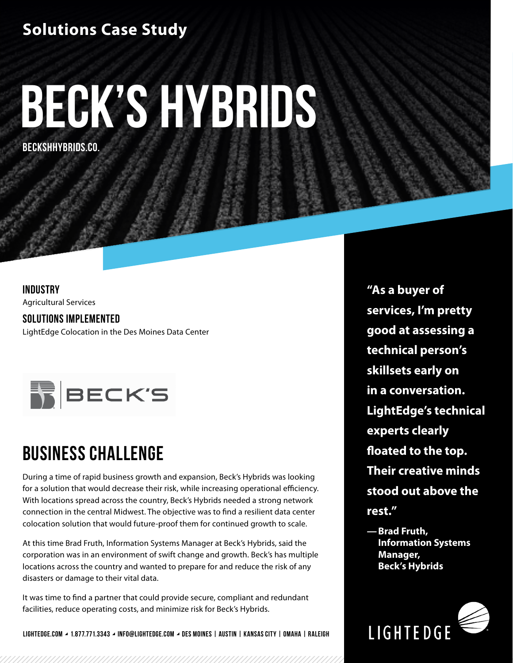## **Solutions Case Study**

# **Beck's Hybrids**

**BECKSHHYBRIDS.CO.**

### **INDUSTRY**

Agricultural Services

**SOLUTIONS IMPLEMENTED** LightEdge Colocation in the Des Moines Data Center



# **BUSINESS CHALLENGE**

During a time of rapid business growth and expansion, Beck's Hybrids was looking for a solution that would decrease their risk, while increasing operational efficiency. With locations spread across the country, Beck's Hybrids needed a strong network connection in the central Midwest. The objective was to find a resilient data center colocation solution that would future-proof them for continued growth to scale.

At this time Brad Fruth, Information Systems Manager at Beck's Hybrids, said the corporation was in an environment of swift change and growth. Beck's has multiple locations across the country and wanted to prepare for and reduce the risk of any disasters or damage to their vital data.

It was time to find a partner that could provide secure, compliant and redundant facilities, reduce operating costs, and minimize risk for Beck's Hybrids.

**LIGHTEDGE.COM 1.877.771.3343 INFO@LIGHTEDGE.COM DES MOINES | AUSTIN | KANSAS CITY | OMAHA | RALEIGH**

**"As a buyer of services, I'm pretty good at assessing a technical person's skillsets early on in a conversation. LightEdge's technical experts clearly floated to the top. Their creative minds stood out above the rest."**

**—Brad Fruth, Information Systems Manager, Beck's Hybrids**

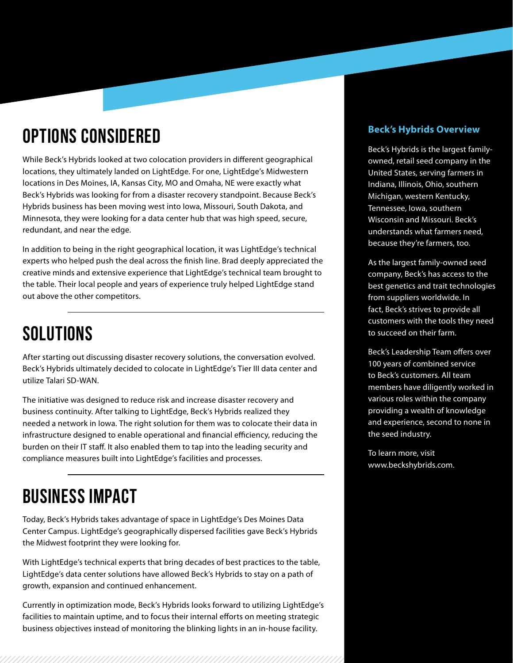# **OPTIONS CONSIDERED**

While Beck's Hybrids looked at two colocation providers in different geographical locations, they ultimately landed on LightEdge. For one, LightEdge's Midwestern locations in Des Moines, IA, Kansas City, MO and Omaha, NE were exactly what Beck's Hybrids was looking for from a disaster recovery standpoint. Because Beck's Hybrids business has been moving west into Iowa, Missouri, South Dakota, and Minnesota, they were looking for a data center hub that was high speed, secure, redundant, and near the edge.

In addition to being in the right geographical location, it was LightEdge's technical experts who helped push the deal across the finish line. Brad deeply appreciated the creative minds and extensive experience that LightEdge's technical team brought to the table. Their local people and years of experience truly helped LightEdge stand out above the other competitors.

# **SOLUTIONS**

After starting out discussing disaster recovery solutions, the conversation evolved. Beck's Hybrids ultimately decided to colocate in LightEdge's Tier III data center and utilize Talari SD-WAN.

The initiative was designed to reduce risk and increase disaster recovery and business continuity. After talking to LightEdge, Beck's Hybrids realized they needed a network in Iowa. The right solution for them was to colocate their data in infrastructure designed to enable operational and financial efficiency, reducing the burden on their IT staff. It also enabled them to tap into the leading security and compliance measures built into LightEdge's facilities and processes.

# **BUSINESS IMPACT**

Today, Beck's Hybrids takes advantage of space in LightEdge's Des Moines Data Center Campus. LightEdge's geographically dispersed facilities gave Beck's Hybrids the Midwest footprint they were looking for.

With LightEdge's technical experts that bring decades of best practices to the table, LightEdge's data center solutions have allowed Beck's Hybrids to stay on a path of growth, expansion and continued enhancement.

Currently in optimization mode, Beck's Hybrids looks forward to utilizing LightEdge's facilities to maintain uptime, and to focus their internal efforts on meeting strategic business objectives instead of monitoring the blinking lights in an in-house facility.

#### **Beck's Hybrids Overview**

Beck's Hybrids is the largest familyowned, retail seed company in the United States, serving farmers in Indiana, Illinois, Ohio, southern Michigan, western Kentucky, Tennessee, Iowa, southern Wisconsin and Missouri. Beck's understands what farmers need, because they're farmers, too.

As the largest family-owned seed company, Beck's has access to the best genetics and trait technologies from suppliers worldwide. In fact, Beck's strives to provide all customers with the tools they need to succeed on their farm.

Beck's Leadership Team offers over 100 years of combined service to Beck's customers. All team members have diligently worked in various roles within the company providing a wealth of knowledge and experience, second to none in the seed industry.

To learn more, visit www.beckshybrids.com.